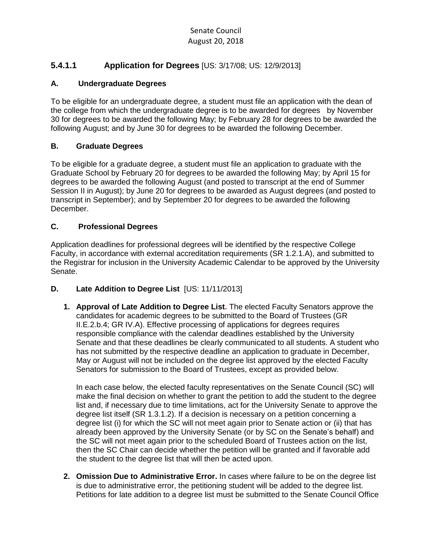## Senate Council August 20, 2018

## **5.4.1.1 Application for Degrees** [US: 3/17/08; US: 12/9/2013]

#### **A. Undergraduate Degrees**

To be eligible for an undergraduate degree, a student must file an application with the dean of the college from which the undergraduate degree is to be awarded for degrees by November 30 for degrees to be awarded the following May; by February 28 for degrees to be awarded the following August; and by June 30 for degrees to be awarded the following December.

#### **B. Graduate Degrees**

To be eligible for a graduate degree, a student must file an application to graduate with the Graduate School by February 20 for degrees to be awarded the following May; by April 15 for degrees to be awarded the following August (and posted to transcript at the end of Summer Session II in August); by June 20 for degrees to be awarded as August degrees (and posted to transcript in September); and by September 20 for degrees to be awarded the following December.

#### **C. Professional Degrees**

Application deadlines for professional degrees will be identified by the respective College Faculty, in accordance with external accreditation requirements (SR 1.2.1.A), and submitted to the Registrar for inclusion in the University Academic Calendar to be approved by the University Senate.

### **D. Late Addition to Degree List** [US: 11/11/2013]

**1. Approval of Late Addition to Degree List.** The elected Faculty Senators approve the candidates for academic degrees to be submitted to the Board of Trustees (GR II.E.2.b.4; GR IV.A). Effective processing of applications for degrees requires responsible compliance with the calendar deadlines established by the University Senate and that these deadlines be clearly communicated to all students. A student who has not submitted by the respective deadline an application to graduate in December, May or August will not be included on the degree list approved by the elected Faculty Senators for submission to the Board of Trustees, except as provided below.

In each case below, the elected faculty representatives on the Senate Council (SC) will make the final decision on whether to grant the petition to add the student to the degree list and, if necessary due to time limitations, act for the University Senate to approve the degree list itself (SR 1.3.1.2). If a decision is necessary on a petition concerning a degree list (i) for which the SC will not meet again prior to Senate action or (ii) that has already been approved by the University Senate (or by SC on the Senate's behalf) and the SC will not meet again prior to the scheduled Board of Trustees action on the list, then the SC Chair can decide whether the petition will be granted and if favorable add the student to the degree list that will then be acted upon.

**2. Omission Due to Administrative Error.** In cases where failure to be on the degree list is due to administrative error, the petitioning student will be added to the degree list. Petitions for late addition to a degree list must be submitted to the Senate Council Office